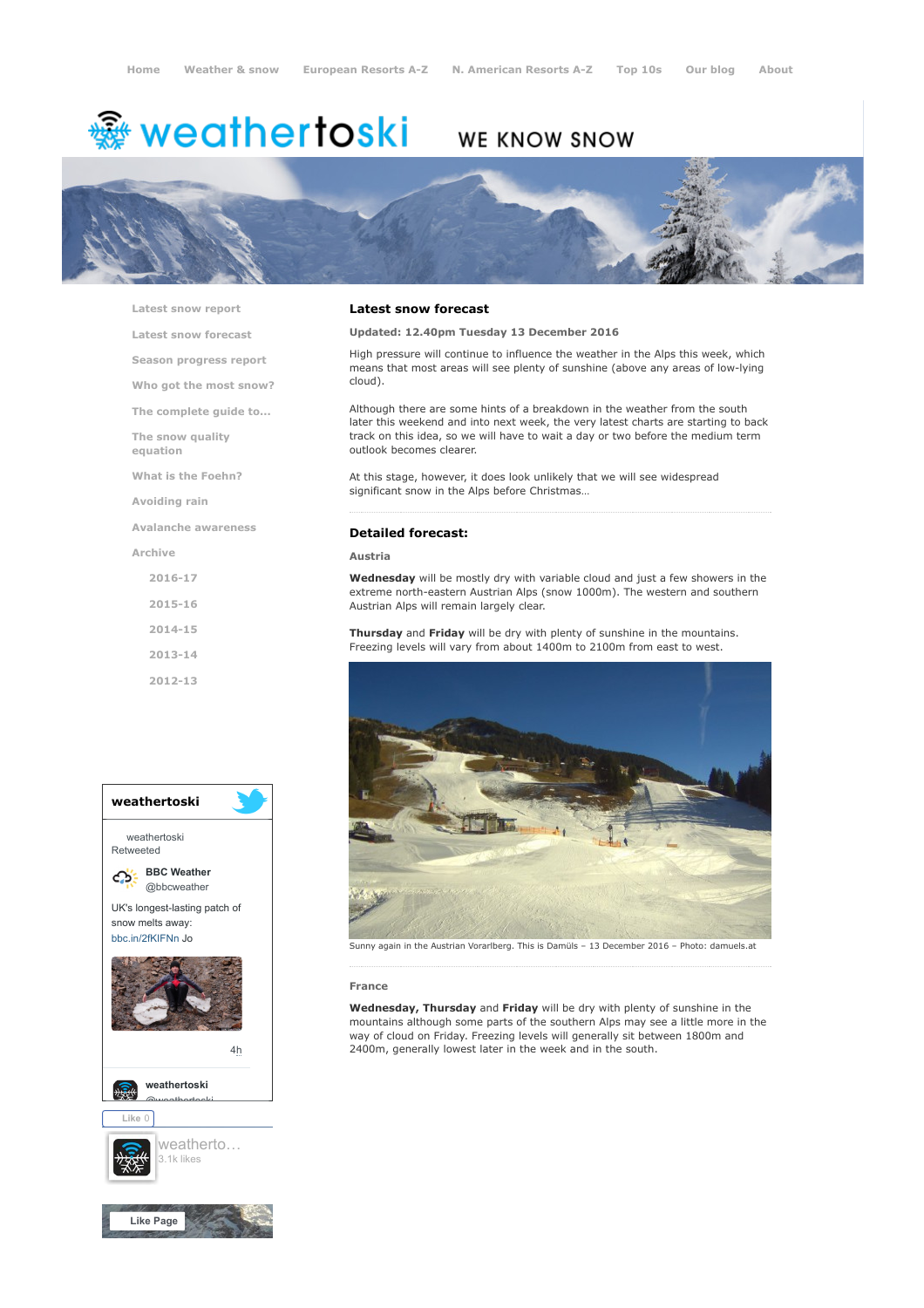# <del>鑾</del> weathertoski

## WE KNOW SNOW



[Latest snow report](https://www.weathertoski.co.uk/weather-snow/latest-snow-report/)

[Latest snow forecast](https://www.weathertoski.co.uk/weather-snow/latest-snow-forecast/)

[Season progress report](https://www.weathertoski.co.uk/weather-snow/season-progress-report/)

[Who got the most snow?](https://www.weathertoski.co.uk/weather-snow/who-got-the-most-snow/)

[The complete guide to...](https://www.weathertoski.co.uk/weather-snow/the-complete-guide-to/)

[The snow quality](https://www.weathertoski.co.uk/weather-snow/the-snow-quality-equation/)

[What is the Foehn?](https://www.weathertoski.co.uk/weather-snow/what-is-the-foehn/)

[Avoiding rain](https://www.weathertoski.co.uk/weather-snow/avoiding-rain/)

equation

[Avalanche awareness](https://www.weathertoski.co.uk/weather-snow/avalanche-awareness/)

[Archive](https://www.weathertoski.co.uk/weather-snow/archive/)

- [2016-17](https://www.weathertoski.co.uk/weather-snow/archive/2016-17/)
- [2015-16](https://www.weathertoski.co.uk/weather-snow/archive/2015-16/)

[2014-15](https://www.weathertoski.co.uk/weather-snow/archive/2014-15/)

[2013-14](https://www.weathertoski.co.uk/weather-snow/archive/2013-14/)

[2012-13](https://www.weathertoski.co.uk/weather-snow/archive/2012-13/)



#### Latest snow forecast

#### Updated: 12.40pm Tuesday 13 December 2016

High pressure will continue to influence the weather in the Alps this week, which means that most areas will see plenty of sunshine (above any areas of low-lying cloud).

Although there are some hints of a breakdown in the weather from the south later this weekend and into next week, the very latest charts are starting to back track on this idea, so we will have to wait a day or two before the medium term outlook becomes clearer.

At this stage, however, it does look unlikely that we will see widespread significant snow in the Alps before Christmas…

#### Detailed forecast:

Austria

Wednesday will be mostly dry with variable cloud and just a few showers in the extreme north-eastern Austrian Alps (snow 1000m). The western and southern Austrian Alps will remain largely clear.

Thursday and Friday will be dry with plenty of sunshine in the mountains. Freezing levels will vary from about 1400m to 2100m from east to west.



Sunny again in the Austrian Vorarlberg. This is Damüls – 13 December 2016 – Photo: damuels.at

#### France

Wednesday, Thursday and Friday will be dry with plenty of sunshine in the mountains although some parts of the southern Alps may see a little more in the way of cloud on Friday. Freezing levels will generally sit between 1800m and [4h](https://twitter.com/bbcweather/status/914797391722795008) 2400m, generally lowest later in the week and in the south.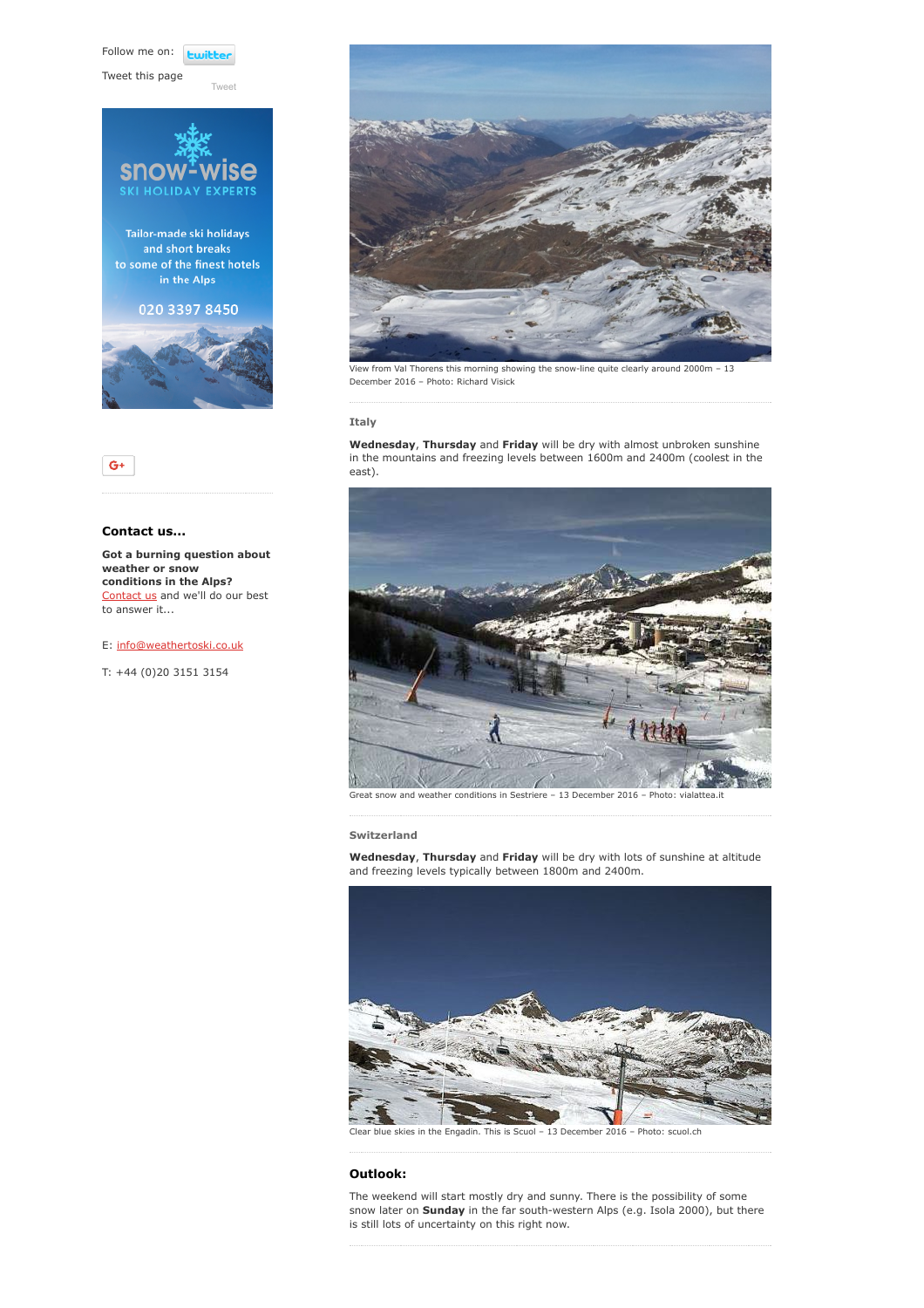Follow me on: **Lwitte** 

[Tweet](https://twitter.com/intent/tweet?original_referer=https%3A%2F%2Fwww.weathertoski.co.uk%2Fweather-snow%2Farchive%2Fsnow-forecast-13-12-2016%2F&ref_src=twsrc%5Etfw&text=Weather%20to%20ski%20-%20Snow%20forecast%20-%2013%20December%202016&tw_p=tweetbutton&url=https%3A%2F%2Fwww.weathertoski.co.uk%2Fweather-snow%2Farchive%2Fsnow-forecast-13-12-2016%2F)

Tweet this page





### Contact us...

Got a burning question about weather or snow conditions in the Alps? [Contact us](https://www.weathertoski.co.uk/about-1/contact-us/) and we'll do our best to answer it...

E: [info@weathertoski.co.uk](mailto:fraser@weathertoski.co.uk)

T: +44 (0)20 3151 3154



View from Val Thorens this morning showing the snow-line quite clearly around 2000m – 13 December 2016 – Photo: Richard Visick

#### Italy

Wednesday, Thursday and Friday will be dry with almost unbroken sunshine in the mountains and freezing levels between 1600m and 2400m (coolest in the east).



Great snow and weather conditions in Sestriere – 13 December 2016 – Photo: vialattea.it

Switzerland

Wednesday, Thursday and Friday will be dry with lots of sunshine at altitude and freezing levels typically between 1800m and 2400m.



Clear blue skies in the Engadin. This is Scuol – 13 December 2016 – Photo: scuol.ch

#### Outlook:

The weekend will start mostly dry and sunny. There is the possibility of some snow later on Sunday in the far south-western Alps (e.g. Isola 2000), but there is still lots of uncertainty on this right now.